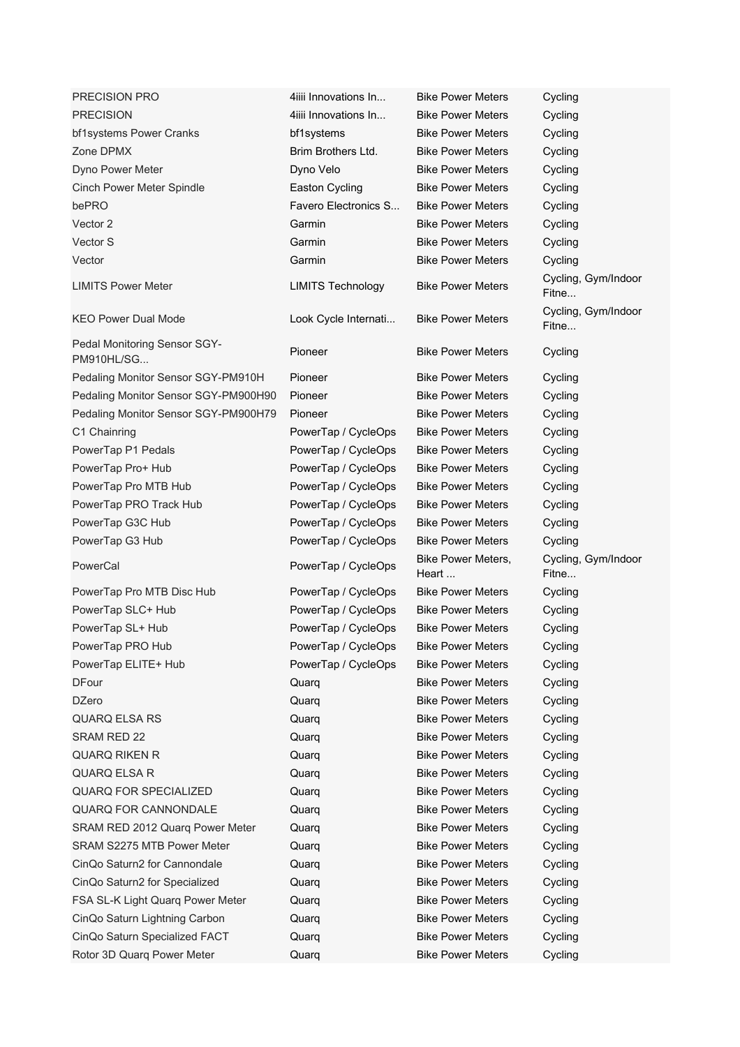| PRECISION PRO                              | 4iiii Innovations In     | <b>Bike Power Meters</b>    | Cycling                      |
|--------------------------------------------|--------------------------|-----------------------------|------------------------------|
| <b>PRECISION</b>                           | 4iiii Innovations In     | <b>Bike Power Meters</b>    | Cycling                      |
| bf1systems Power Cranks                    | bf1systems               | <b>Bike Power Meters</b>    | Cycling                      |
| Zone DPMX                                  | Brim Brothers Ltd.       | <b>Bike Power Meters</b>    | Cycling                      |
| Dyno Power Meter                           | Dyno Velo                | <b>Bike Power Meters</b>    | Cycling                      |
| Cinch Power Meter Spindle                  | Easton Cycling           | <b>Bike Power Meters</b>    | Cycling                      |
| bePRO                                      | Favero Electronics S     | <b>Bike Power Meters</b>    | Cycling                      |
| Vector 2                                   | Garmin                   | <b>Bike Power Meters</b>    | Cycling                      |
| Vector S                                   | Garmin                   | <b>Bike Power Meters</b>    | Cycling                      |
| Vector                                     | Garmin                   | <b>Bike Power Meters</b>    | Cycling                      |
| <b>LIMITS Power Meter</b>                  | <b>LIMITS Technology</b> | <b>Bike Power Meters</b>    | Cycling, Gym/Indoor<br>Fitne |
| <b>KEO Power Dual Mode</b>                 | Look Cycle Internati     | <b>Bike Power Meters</b>    | Cycling, Gym/Indoor<br>Fitne |
| Pedal Monitoring Sensor SGY-<br>PM910HL/SG | Pioneer                  | <b>Bike Power Meters</b>    | Cycling                      |
| Pedaling Monitor Sensor SGY-PM910H         | Pioneer                  | <b>Bike Power Meters</b>    | Cycling                      |
| Pedaling Monitor Sensor SGY-PM900H90       | Pioneer                  | <b>Bike Power Meters</b>    | Cycling                      |
| Pedaling Monitor Sensor SGY-PM900H79       | Pioneer                  | <b>Bike Power Meters</b>    | Cycling                      |
| C1 Chainring                               | PowerTap / CycleOps      | <b>Bike Power Meters</b>    | Cycling                      |
| PowerTap P1 Pedals                         | PowerTap / CycleOps      | <b>Bike Power Meters</b>    | Cycling                      |
| PowerTap Pro+ Hub                          | PowerTap / CycleOps      | <b>Bike Power Meters</b>    | Cycling                      |
| PowerTap Pro MTB Hub                       | PowerTap / CycleOps      | <b>Bike Power Meters</b>    | Cycling                      |
| PowerTap PRO Track Hub                     | PowerTap / CycleOps      | <b>Bike Power Meters</b>    | Cycling                      |
| PowerTap G3C Hub                           | PowerTap / CycleOps      | <b>Bike Power Meters</b>    | Cycling                      |
| PowerTap G3 Hub                            | PowerTap / CycleOps      | <b>Bike Power Meters</b>    | Cycling                      |
| PowerCal                                   | PowerTap / CycleOps      | Bike Power Meters,<br>Heart | Cycling, Gym/Indoor<br>Fitne |
| PowerTap Pro MTB Disc Hub                  | PowerTap / CycleOps      | <b>Bike Power Meters</b>    | Cycling                      |
| PowerTap SLC+ Hub                          | PowerTap / CycleOps      | <b>Bike Power Meters</b>    | Cycling                      |
| PowerTap SL+ Hub                           | PowerTap / CycleOps      | <b>Bike Power Meters</b>    | Cycling                      |
| PowerTap PRO Hub                           | PowerTap / CycleOps      | <b>Bike Power Meters</b>    | Cycling                      |
| PowerTap ELITE+ Hub                        | PowerTap / CycleOps      | <b>Bike Power Meters</b>    | Cycling                      |
| <b>DFour</b>                               | Quarq                    | <b>Bike Power Meters</b>    | Cycling                      |
| <b>DZero</b>                               | Quarq                    | <b>Bike Power Meters</b>    | Cycling                      |
| QUARQ ELSA RS                              | Quarq                    | <b>Bike Power Meters</b>    | Cycling                      |
| <b>SRAM RED 22</b>                         | Quarq                    | <b>Bike Power Meters</b>    | Cycling                      |
| <b>QUARQ RIKEN R</b>                       | Quarq                    | <b>Bike Power Meters</b>    | Cycling                      |
| QUARQ ELSA R                               | Quarq                    | <b>Bike Power Meters</b>    | Cycling                      |
| <b>QUARQ FOR SPECIALIZED</b>               | Quarq                    | <b>Bike Power Meters</b>    | Cycling                      |
| QUARQ FOR CANNONDALE                       | Quarq                    | <b>Bike Power Meters</b>    | Cycling                      |
| SRAM RED 2012 Quarq Power Meter            | Quarq                    | <b>Bike Power Meters</b>    | Cycling                      |
| SRAM S2275 MTB Power Meter                 | Quarq                    | <b>Bike Power Meters</b>    | Cycling                      |
| CinQo Saturn2 for Cannondale               | Quarq                    | <b>Bike Power Meters</b>    | Cycling                      |
| CinQo Saturn2 for Specialized              | Quarq                    | <b>Bike Power Meters</b>    | Cycling                      |
| FSA SL-K Light Quarq Power Meter           | Quarq                    | <b>Bike Power Meters</b>    | Cycling                      |
| CinQo Saturn Lightning Carbon              | Quarq                    | <b>Bike Power Meters</b>    | Cycling                      |
| CinQo Saturn Specialized FACT              | Quarq                    | <b>Bike Power Meters</b>    | Cycling                      |
| Rotor 3D Quarq Power Meter                 | Quarq                    | <b>Bike Power Meters</b>    | Cycling                      |
|                                            |                          |                             |                              |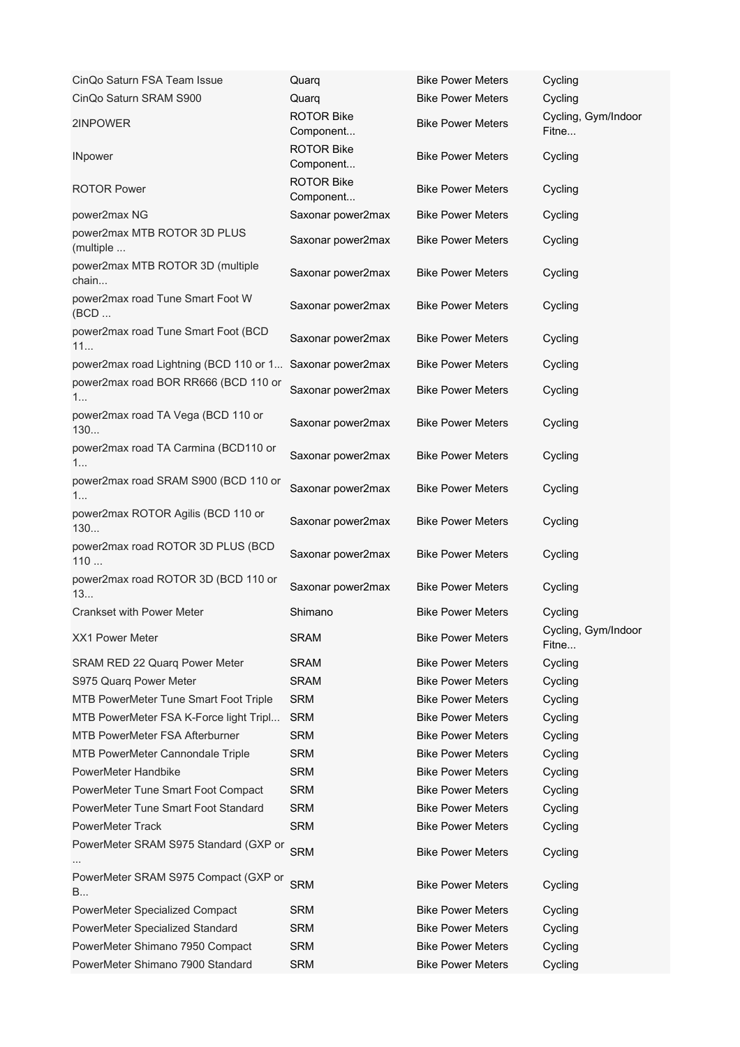| CinQo Saturn FSA Team Issue                              | Quarq                          | <b>Bike Power Meters</b> | Cycling                      |
|----------------------------------------------------------|--------------------------------|--------------------------|------------------------------|
| CinQo Saturn SRAM S900                                   | Quarq                          | <b>Bike Power Meters</b> | Cycling                      |
| 2INPOWER                                                 | <b>ROTOR Bike</b><br>Component | <b>Bike Power Meters</b> | Cycling, Gym/Indoor<br>Fitne |
| <b>INpower</b>                                           | <b>ROTOR Bike</b><br>Component | <b>Bike Power Meters</b> | Cycling                      |
| <b>ROTOR Power</b>                                       | <b>ROTOR Bike</b><br>Component | <b>Bike Power Meters</b> | Cycling                      |
| power2max NG                                             | Saxonar power2max              | <b>Bike Power Meters</b> | Cycling                      |
| power2max MTB ROTOR 3D PLUS<br>(multiple                 | Saxonar power2max              | <b>Bike Power Meters</b> | Cycling                      |
| power2max MTB ROTOR 3D (multiple<br>chain                | Saxonar power2max              | <b>Bike Power Meters</b> | Cycling                      |
| power2max road Tune Smart Foot W<br>(BCD                 | Saxonar power2max              | <b>Bike Power Meters</b> | Cycling                      |
| power2max road Tune Smart Foot (BCD<br>11                | Saxonar power2max              | <b>Bike Power Meters</b> | Cycling                      |
| power2max road Lightning (BCD 110 or 1 Saxonar power2max |                                | <b>Bike Power Meters</b> | Cycling                      |
| power2max road BOR RR666 (BCD 110 or<br>1                | Saxonar power2max              | <b>Bike Power Meters</b> | Cycling                      |
| power2max road TA Vega (BCD 110 or<br>130                | Saxonar power2max              | <b>Bike Power Meters</b> | Cycling                      |
| power2max road TA Carmina (BCD110 or<br>1                | Saxonar power2max              | <b>Bike Power Meters</b> | Cycling                      |
| power2max road SRAM S900 (BCD 110 or<br>1                | Saxonar power2max              | <b>Bike Power Meters</b> | Cycling                      |
| power2max ROTOR Agilis (BCD 110 or<br>130                | Saxonar power2max              | <b>Bike Power Meters</b> | Cycling                      |
| power2max road ROTOR 3D PLUS (BCD<br>110                 | Saxonar power2max              | <b>Bike Power Meters</b> | Cycling                      |
| power2max road ROTOR 3D (BCD 110 or<br>13                | Saxonar power2max              | <b>Bike Power Meters</b> | Cycling                      |
| <b>Crankset with Power Meter</b>                         | Shimano                        | <b>Bike Power Meters</b> | Cycling                      |
| <b>XX1 Power Meter</b>                                   | <b>SRAM</b>                    | <b>Bike Power Meters</b> | Cycling, Gym/Indoor<br>Fitne |
| SRAM RED 22 Quarq Power Meter                            | <b>SRAM</b>                    | <b>Bike Power Meters</b> | Cycling                      |
| S975 Quarq Power Meter                                   | <b>SRAM</b>                    | <b>Bike Power Meters</b> | Cycling                      |
| MTB PowerMeter Tune Smart Foot Triple                    | <b>SRM</b>                     | <b>Bike Power Meters</b> | Cycling                      |
| MTB PowerMeter FSA K-Force light Tripl                   | <b>SRM</b>                     | <b>Bike Power Meters</b> | Cycling                      |
| <b>MTB PowerMeter FSA Afterburner</b>                    | <b>SRM</b>                     | <b>Bike Power Meters</b> | Cycling                      |
| MTB PowerMeter Cannondale Triple                         | <b>SRM</b>                     | <b>Bike Power Meters</b> | Cycling                      |
| PowerMeter Handbike                                      | <b>SRM</b>                     | <b>Bike Power Meters</b> | Cycling                      |
| PowerMeter Tune Smart Foot Compact                       | <b>SRM</b>                     | <b>Bike Power Meters</b> | Cycling                      |
| PowerMeter Tune Smart Foot Standard                      | <b>SRM</b>                     | <b>Bike Power Meters</b> | Cycling                      |
| <b>PowerMeter Track</b>                                  | <b>SRM</b>                     | <b>Bike Power Meters</b> | Cycling                      |
| PowerMeter SRAM S975 Standard (GXP or                    | <b>SRM</b>                     | <b>Bike Power Meters</b> | Cycling                      |
| PowerMeter SRAM S975 Compact (GXP or<br>B                | <b>SRM</b>                     | <b>Bike Power Meters</b> | Cycling                      |
| PowerMeter Specialized Compact                           | <b>SRM</b>                     | <b>Bike Power Meters</b> | Cycling                      |
| PowerMeter Specialized Standard                          | <b>SRM</b>                     | <b>Bike Power Meters</b> | Cycling                      |
| PowerMeter Shimano 7950 Compact                          | <b>SRM</b>                     | <b>Bike Power Meters</b> | Cycling                      |
| PowerMeter Shimano 7900 Standard                         | <b>SRM</b>                     | <b>Bike Power Meters</b> | Cycling                      |